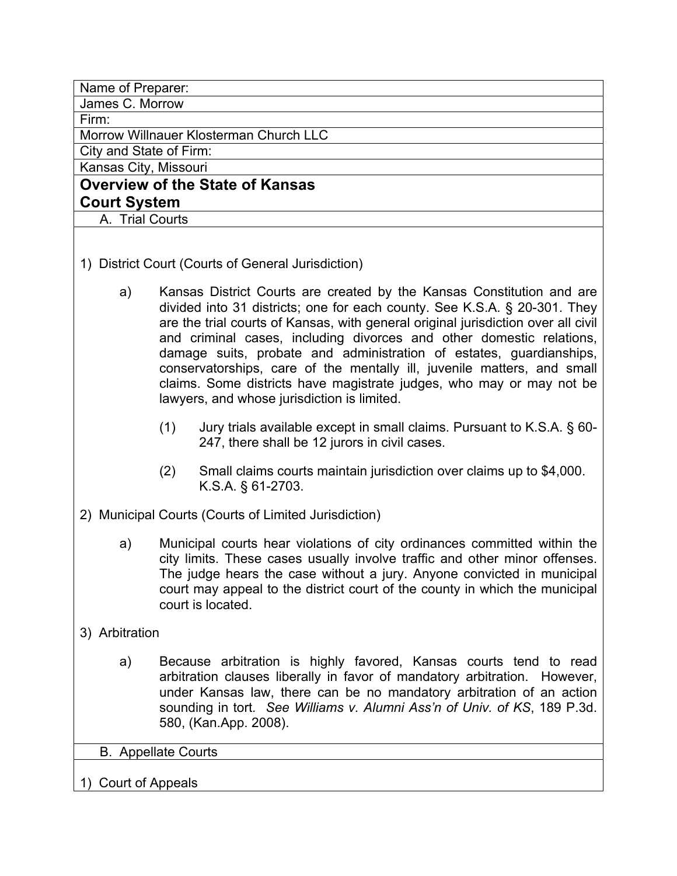| Name of Preparer:                      |
|----------------------------------------|
| James C. Morrow                        |
| Firm:                                  |
| Morrow Willnauer Klosterman Church LLC |
| City and State of Firm:                |
| Kansas City, Missouri                  |
| <b>Overview of the State of Kansas</b> |
| <b>Court System</b>                    |
| A. Trial Courts                        |
|                                        |

- 1) District Court (Courts of General Jurisdiction)
	- a) Kansas District Courts are created by the Kansas Constitution and are divided into 31 districts; one for each county. See K.S.A. § 20-301. They are the trial courts of Kansas, with general original jurisdiction over all civil and criminal cases, including divorces and other domestic relations, damage suits, probate and administration of estates, guardianships, conservatorships, care of the mentally ill, juvenile matters, and small claims. Some districts have magistrate judges, who may or may not be lawyers, and whose jurisdiction is limited.
		- (1) Jury trials available except in small claims. Pursuant to K.S.A. § 60- 247, there shall be 12 jurors in civil cases.
		- (2) Small claims courts maintain jurisdiction over claims up to \$4,000. K.S.A. § 61-2703.
- 2) Municipal Courts (Courts of Limited Jurisdiction)
	- a) Municipal courts hear violations of city ordinances committed within the city limits. These cases usually involve traffic and other minor offenses. The judge hears the case without a jury. Anyone convicted in municipal court may appeal to the district court of the county in which the municipal court is located.
- 3) Arbitration
	- a) Because arbitration is highly favored, Kansas courts tend to read arbitration clauses liberally in favor of mandatory arbitration. However, under Kansas law, there can be no mandatory arbitration of an action sounding in tort*. See Williams v. Alumni Ass'n of Univ. of KS*, 189 P.3d. 580, (Kan.App. 2008).

B. Appellate Courts

1) Court of Appeals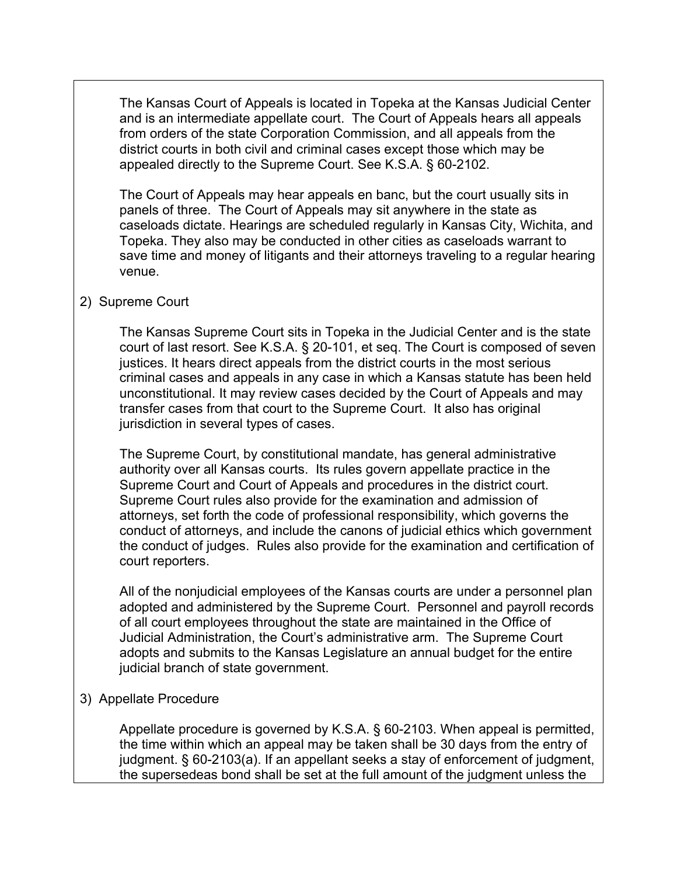The Kansas Court of Appeals is located in Topeka at the Kansas Judicial Center and is an intermediate appellate court. The Court of Appeals hears all appeals from orders of the state Corporation Commission, and all appeals from the district courts in both civil and criminal cases except those which may be appealed directly to the Supreme Court. See K.S.A. § 60-2102.

The Court of Appeals may hear appeals en banc, but the court usually sits in panels of three. The Court of Appeals may sit anywhere in the state as caseloads dictate. Hearings are scheduled regularly in Kansas City, Wichita, and Topeka. They also may be conducted in other cities as caseloads warrant to save time and money of litigants and their attorneys traveling to a regular hearing venue.

### 2) Supreme Court

The Kansas Supreme Court sits in Topeka in the Judicial Center and is the state court of last resort. See K.S.A. § 20-101, et seq. The Court is composed of seven justices. It hears direct appeals from the district courts in the most serious criminal cases and appeals in any case in which a Kansas statute has been held unconstitutional. It may review cases decided by the Court of Appeals and may transfer cases from that court to the Supreme Court. It also has original jurisdiction in several types of cases.

The Supreme Court, by constitutional mandate, has general administrative authority over all Kansas courts. Its rules govern appellate practice in the Supreme Court and Court of Appeals and procedures in the district court. Supreme Court rules also provide for the examination and admission of attorneys, set forth the code of professional responsibility, which governs the conduct of attorneys, and include the canons of judicial ethics which government the conduct of judges. Rules also provide for the examination and certification of court reporters.

All of the nonjudicial employees of the Kansas courts are under a personnel plan adopted and administered by the Supreme Court. Personnel and payroll records of all court employees throughout the state are maintained in the Office of Judicial Administration, the Court's administrative arm. The Supreme Court adopts and submits to the Kansas Legislature an annual budget for the entire judicial branch of state government.

### 3) Appellate Procedure

Appellate procedure is governed by K.S.A. § 60-2103. When appeal is permitted, the time within which an appeal may be taken shall be 30 days from the entry of judgment. § 60-2103(a). If an appellant seeks a stay of enforcement of judgment, the supersedeas bond shall be set at the full amount of the judgment unless the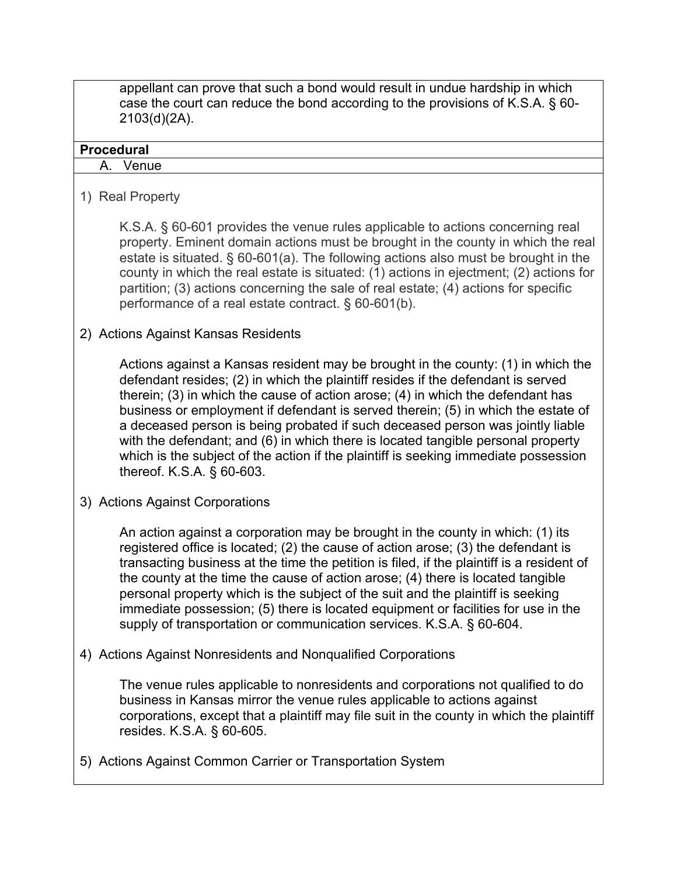appellant can prove that such a bond would result in undue hardship in which case the court can reduce the bond according to the provisions of K.S.A. § 60- 2103(d)(2A).

#### **Procedural**

A. Venue

1) Real Property

K.S.A. § 60-601 provides the venue rules applicable to actions concerning real property. Eminent domain actions must be brought in the county in which the real estate is situated. § 60-601(a). The following actions also must be brought in the county in which the real estate is situated: (1) actions in ejectment; (2) actions for partition; (3) actions concerning the sale of real estate; (4) actions for specific performance of a real estate contract. § 60-601(b).

# 2) Actions Against Kansas Residents

Actions against a Kansas resident may be brought in the county: (1) in which the defendant resides; (2) in which the plaintiff resides if the defendant is served therein; (3) in which the cause of action arose; (4) in which the defendant has business or employment if defendant is served therein; (5) in which the estate of a deceased person is being probated if such deceased person was jointly liable with the defendant; and (6) in which there is located tangible personal property which is the subject of the action if the plaintiff is seeking immediate possession thereof. K.S.A. § 60-603.

3) Actions Against Corporations

An action against a corporation may be brought in the county in which: (1) its registered office is located; (2) the cause of action arose; (3) the defendant is transacting business at the time the petition is filed, if the plaintiff is a resident of the county at the time the cause of action arose; (4) there is located tangible personal property which is the subject of the suit and the plaintiff is seeking immediate possession; (5) there is located equipment or facilities for use in the supply of transportation or communication services. K.S.A. § 60-604.

4) Actions Against Nonresidents and Nonqualified Corporations

The venue rules applicable to nonresidents and corporations not qualified to do business in Kansas mirror the venue rules applicable to actions against corporations, except that a plaintiff may file suit in the county in which the plaintiff resides. K.S.A. § 60-605.

5) Actions Against Common Carrier or Transportation System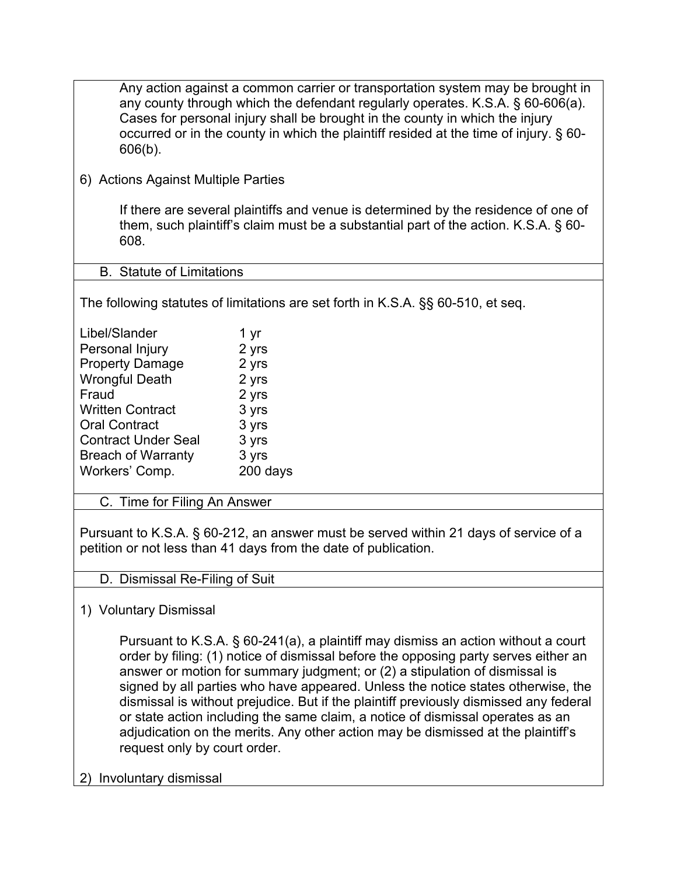| Any action against a common carrier or transportation system may be brought in<br>any county through which the defendant regularly operates. K.S.A. § 60-606(a).<br>Cases for personal injury shall be brought in the county in which the injury<br>occurred or in the county in which the plaintiff resided at the time of injury. § 60-<br>$606(b)$ . |                                                                                                                                                                                                                                                                                                                                                                                                                                                                                                                                                                                                            |  |
|---------------------------------------------------------------------------------------------------------------------------------------------------------------------------------------------------------------------------------------------------------------------------------------------------------------------------------------------------------|------------------------------------------------------------------------------------------------------------------------------------------------------------------------------------------------------------------------------------------------------------------------------------------------------------------------------------------------------------------------------------------------------------------------------------------------------------------------------------------------------------------------------------------------------------------------------------------------------------|--|
| 6) Actions Against Multiple Parties                                                                                                                                                                                                                                                                                                                     |                                                                                                                                                                                                                                                                                                                                                                                                                                                                                                                                                                                                            |  |
| 608.                                                                                                                                                                                                                                                                                                                                                    | If there are several plaintiffs and venue is determined by the residence of one of<br>them, such plaintiff's claim must be a substantial part of the action. K.S.A. § 60-                                                                                                                                                                                                                                                                                                                                                                                                                                  |  |
| <b>B.</b> Statute of Limitations                                                                                                                                                                                                                                                                                                                        |                                                                                                                                                                                                                                                                                                                                                                                                                                                                                                                                                                                                            |  |
|                                                                                                                                                                                                                                                                                                                                                         | The following statutes of limitations are set forth in K.S.A. §§ 60-510, et seq.                                                                                                                                                                                                                                                                                                                                                                                                                                                                                                                           |  |
| Libel/Slander                                                                                                                                                                                                                                                                                                                                           | 1 yr                                                                                                                                                                                                                                                                                                                                                                                                                                                                                                                                                                                                       |  |
| Personal Injury                                                                                                                                                                                                                                                                                                                                         | 2 yrs                                                                                                                                                                                                                                                                                                                                                                                                                                                                                                                                                                                                      |  |
| <b>Property Damage</b>                                                                                                                                                                                                                                                                                                                                  | 2 yrs                                                                                                                                                                                                                                                                                                                                                                                                                                                                                                                                                                                                      |  |
| <b>Wrongful Death</b>                                                                                                                                                                                                                                                                                                                                   | 2 yrs                                                                                                                                                                                                                                                                                                                                                                                                                                                                                                                                                                                                      |  |
| Fraud                                                                                                                                                                                                                                                                                                                                                   | 2 yrs                                                                                                                                                                                                                                                                                                                                                                                                                                                                                                                                                                                                      |  |
| <b>Written Contract</b>                                                                                                                                                                                                                                                                                                                                 | 3 yrs                                                                                                                                                                                                                                                                                                                                                                                                                                                                                                                                                                                                      |  |
| <b>Oral Contract</b>                                                                                                                                                                                                                                                                                                                                    | 3 yrs                                                                                                                                                                                                                                                                                                                                                                                                                                                                                                                                                                                                      |  |
| <b>Contract Under Seal</b>                                                                                                                                                                                                                                                                                                                              | 3 yrs                                                                                                                                                                                                                                                                                                                                                                                                                                                                                                                                                                                                      |  |
| <b>Breach of Warranty</b>                                                                                                                                                                                                                                                                                                                               | 3 yrs                                                                                                                                                                                                                                                                                                                                                                                                                                                                                                                                                                                                      |  |
| Workers' Comp.                                                                                                                                                                                                                                                                                                                                          | 200 days                                                                                                                                                                                                                                                                                                                                                                                                                                                                                                                                                                                                   |  |
| C. Time for Filing An Answer                                                                                                                                                                                                                                                                                                                            |                                                                                                                                                                                                                                                                                                                                                                                                                                                                                                                                                                                                            |  |
| Pursuant to K.S.A. § 60-212, an answer must be served within 21 days of service of a<br>petition or not less than 41 days from the date of publication.                                                                                                                                                                                                 |                                                                                                                                                                                                                                                                                                                                                                                                                                                                                                                                                                                                            |  |
| D. Dismissal Re-Filing of Suit                                                                                                                                                                                                                                                                                                                          |                                                                                                                                                                                                                                                                                                                                                                                                                                                                                                                                                                                                            |  |
| 1) Voluntary Dismissal                                                                                                                                                                                                                                                                                                                                  |                                                                                                                                                                                                                                                                                                                                                                                                                                                                                                                                                                                                            |  |
| request only by court order.                                                                                                                                                                                                                                                                                                                            | Pursuant to K.S.A. § 60-241(a), a plaintiff may dismiss an action without a court<br>order by filing: (1) notice of dismissal before the opposing party serves either an<br>answer or motion for summary judgment; or (2) a stipulation of dismissal is<br>signed by all parties who have appeared. Unless the notice states otherwise, the<br>dismissal is without prejudice. But if the plaintiff previously dismissed any federal<br>or state action including the same claim, a notice of dismissal operates as an<br>adjudication on the merits. Any other action may be dismissed at the plaintiff's |  |
| 2) Involuntary dismissal                                                                                                                                                                                                                                                                                                                                |                                                                                                                                                                                                                                                                                                                                                                                                                                                                                                                                                                                                            |  |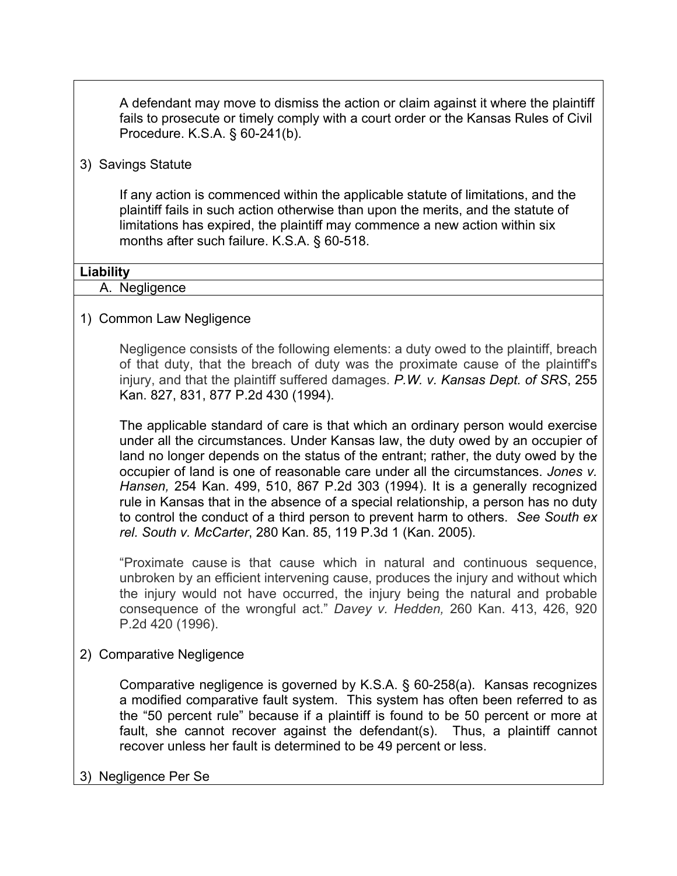A defendant may move to dismiss the action or claim against it where the plaintiff fails to prosecute or timely comply with a court order or the Kansas Rules of Civil Procedure. K.S.A. § 60-241(b).

#### 3) Savings Statute

If any action is commenced within the applicable statute of limitations, and the plaintiff fails in such action otherwise than upon the merits, and the statute of limitations has expired, the plaintiff may commence a new action within six months after such failure. K.S.A. § 60-518.

#### **Liability**

#### A. Negligence

### 1) Common Law Negligence

Negligence consists of the following elements: a duty owed to the plaintiff, breach of that duty, that the breach of duty was the proximate cause of the plaintiff's injury, and that the plaintiff suffered damages. *P.W. v. Kansas Dept. of SRS*, 255 Kan. 827, 831, 877 P.2d 430 (1994).

The applicable standard of care is that which an ordinary person would exercise under all the circumstances. Under Kansas law, the duty owed by an occupier of land no longer depends on the status of the entrant; rather, the duty owed by the occupier of land is one of reasonable care under all the circumstances. *Jones v. Hansen,* 254 Kan. 499, 510, 867 P.2d 303 (1994). It is a generally recognized rule in Kansas that in the absence of a special relationship, a person has no duty to control the conduct of a third person to prevent harm to others. *See South ex rel. South v. McCarter*, 280 Kan. 85, 119 P.3d 1 (Kan. 2005).

"Proximate cause is that cause which in natural and continuous sequence, unbroken by an efficient intervening cause, produces the injury and without which the injury would not have occurred, the injury being the natural and probable consequence of the wrongful act." *Davey v. Hedden,* 260 Kan. 413, 426, 920 P.2d 420 (1996).

#### 2) Comparative Negligence

Comparative negligence is governed by K.S.A. § 60-258(a). Kansas recognizes a modified comparative fault system. This system has often been referred to as the "50 percent rule" because if a plaintiff is found to be 50 percent or more at fault, she cannot recover against the defendant(s). Thus, a plaintiff cannot recover unless her fault is determined to be 49 percent or less.

3) Negligence Per Se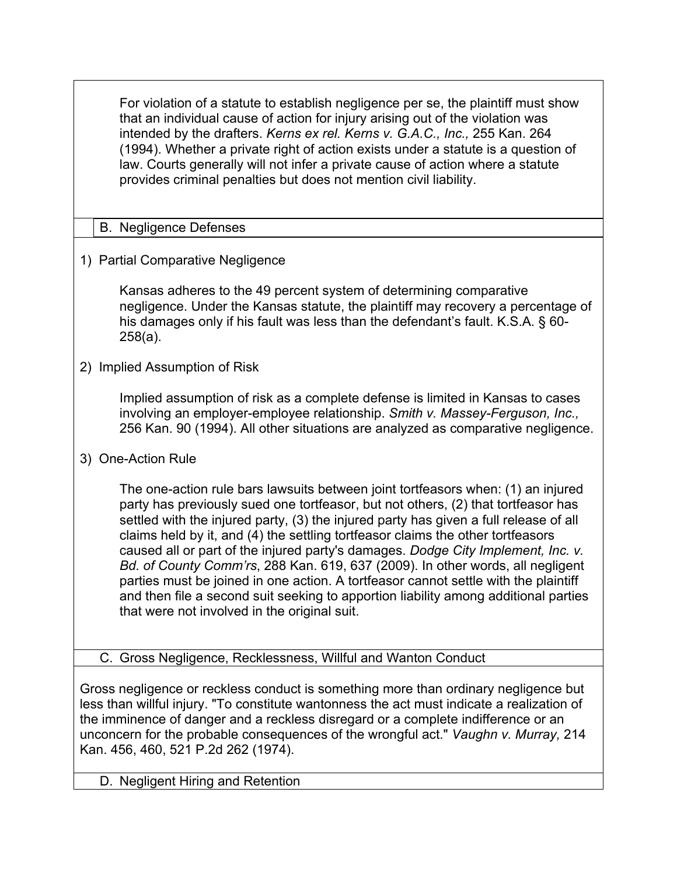For violation of a statute to establish negligence per se, the plaintiff must show that an individual cause of action for injury arising out of the violation was intended by the drafters. *Kerns ex rel. Kerns v. G.A.C., Inc.,* 255 Kan. 264 (1994). Whether a private right of action exists under a statute is a question of law. Courts generally will not infer a private cause of action where a statute provides criminal penalties but does not mention civil liability.

# B. Negligence Defenses

1) Partial Comparative Negligence

Kansas adheres to the 49 percent system of determining comparative negligence. Under the Kansas statute, the plaintiff may recovery a percentage of his damages only if his fault was less than the defendant's fault. K.S.A. § 60- 258(a).

2) Implied Assumption of Risk

Implied assumption of risk as a complete defense is limited in Kansas to cases involving an employer-employee relationship. *Smith v. Massey-Ferguson, Inc.,*  256 Kan. 90 (1994). All other situations are analyzed as comparative negligence.

3) One-Action Rule

The one-action rule bars lawsuits between joint tortfeasors when: (1) an injured party has previously sued one tortfeasor, but not others, (2) that tortfeasor has settled with the injured party, (3) the injured party has given a full release of all claims held by it, and (4) the settling tortfeasor claims the other tortfeasors caused all or part of the injured party's damages. *Dodge City Implement, Inc. v. Bd. of County Comm'rs*, 288 Kan. 619, 637 (2009). In other words, all negligent parties must be joined in one action. A tortfeasor cannot settle with the plaintiff and then file a second suit seeking to apportion liability among additional parties that were not involved in the original suit.

C. Gross Negligence, Recklessness, Willful and Wanton Conduct

Gross negligence or reckless conduct is something more than ordinary negligence but less than willful injury. "To constitute wantonness the act must indicate a realization of the imminence of danger and a reckless disregard or a complete indifference or an unconcern for the probable consequences of the wrongful act." *Vaughn v. Murray,* 214 Kan. 456, 460, 521 P.2d 262 (1974).

D. Negligent Hiring and Retention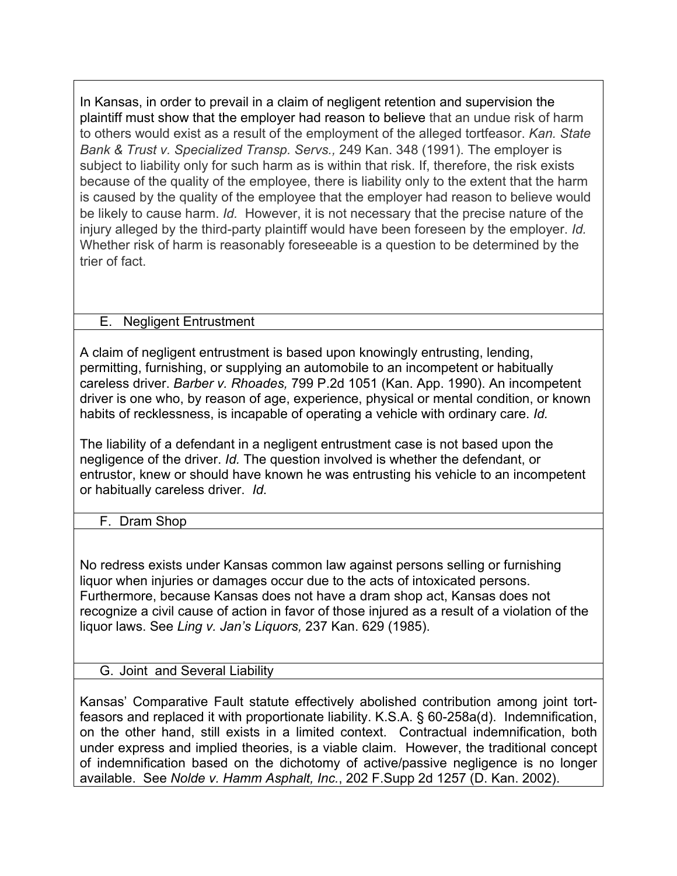In Kansas, in order to prevail in a claim of negligent retention and supervision the plaintiff must show that the employer had reason to believe that an undue risk of harm to others would exist as a result of the employment of the alleged tortfeasor. *Kan. State Bank & Trust v. Specialized Transp. Servs.,* 249 Kan. 348 (1991). The employer is subject to liability only for such harm as is within that risk. If, therefore, the risk exists because of the quality of the employee, there is liability only to the extent that the harm is caused by the quality of the employee that the employer had reason to believe would be likely to cause harm. *Id.* However, it is not necessary that the precise nature of the injury alleged by the third-party plaintiff would have been foreseen by the employer. *Id.*  Whether risk of harm is reasonably foreseeable is a question to be determined by the trier of fact.

# E. Negligent Entrustment

A claim of negligent entrustment is based upon knowingly entrusting, lending, permitting, furnishing, or supplying an automobile to an incompetent or habitually careless driver. *Barber v. Rhoades,* 799 P.2d 1051 (Kan. App. 1990). An incompetent driver is one who, by reason of age, experience, physical or mental condition, or known habits of recklessness, is incapable of operating a vehicle with ordinary care. *Id.* 

The liability of a defendant in a negligent entrustment case is not based upon the negligence of the driver. *Id.* The question involved is whether the defendant, or entrustor, knew or should have known he was entrusting his vehicle to an incompetent or habitually careless driver. *Id.* 

F. Dram Shop

No redress exists under Kansas common law against persons selling or furnishing liquor when injuries or damages occur due to the acts of intoxicated persons. Furthermore, because Kansas does not have a dram shop act, Kansas does not recognize a civil cause of action in favor of those injured as a result of a violation of the liquor laws. See *Ling v. Jan's Liquors,* 237 Kan. 629 (1985).

### G. Joint and Several Liability

Kansas' Comparative Fault statute effectively abolished contribution among joint tortfeasors and replaced it with proportionate liability. K.S.A. § 60-258a(d). Indemnification, on the other hand, still exists in a limited context. Contractual indemnification, both under express and implied theories, is a viable claim. However, the traditional concept of indemnification based on the dichotomy of active/passive negligence is no longer available. See *Nolde v. Hamm Asphalt, Inc.*, 202 F.Supp 2d 1257 (D. Kan. 2002).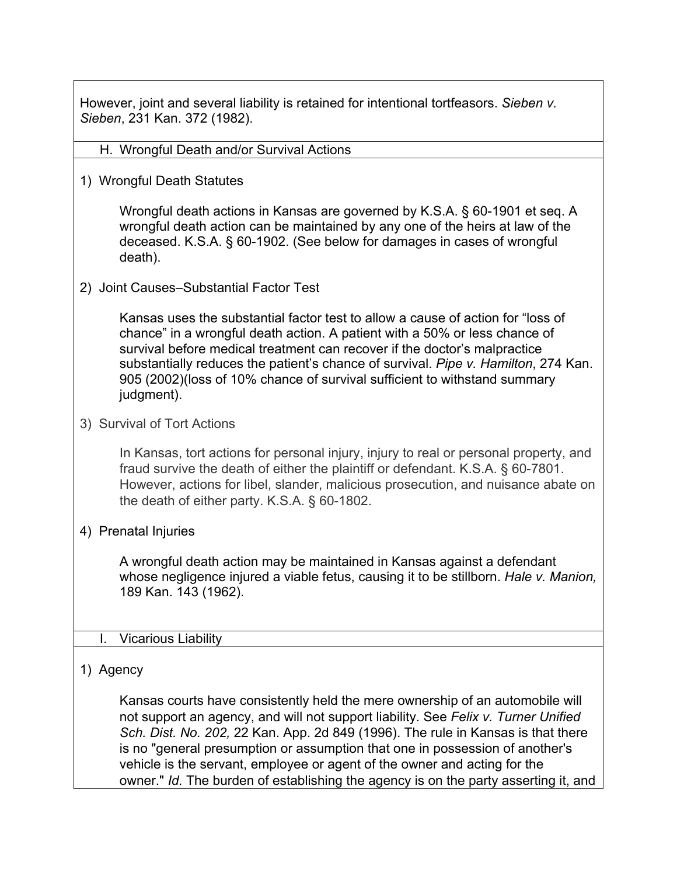However, joint and several liability is retained for intentional tortfeasors. *Sieben v. Sieben*, 231 Kan. 372 (1982).

#### H. Wrongful Death and/or Survival Actions

1) Wrongful Death Statutes

Wrongful death actions in Kansas are governed by K.S.A. § 60-1901 et seq. A wrongful death action can be maintained by any one of the heirs at law of the deceased. K.S.A. § 60-1902. (See below for damages in cases of wrongful death).

2) Joint Causes–Substantial Factor Test

Kansas uses the substantial factor test to allow a cause of action for "loss of chance" in a wrongful death action. A patient with a 50% or less chance of survival before medical treatment can recover if the doctor's malpractice substantially reduces the patient's chance of survival. *Pipe v. Hamilton*, 274 Kan. 905 (2002)(loss of 10% chance of survival sufficient to withstand summary judgment).

3) Survival of Tort Actions

In Kansas, tort actions for personal injury, injury to real or personal property, and fraud survive the death of either the plaintiff or defendant. K.S.A. § 60-7801. However, actions for libel, slander, malicious prosecution, and nuisance abate on the death of either party. K.S.A. § 60-1802.

4) Prenatal Injuries

A wrongful death action may be maintained in Kansas against a defendant whose negligence injured a viable fetus, causing it to be stillborn. *Hale v. Manion,*  189 Kan. 143 (1962).

#### I. Vicarious Liability

#### 1) Agency

Kansas courts have consistently held the mere ownership of an automobile will not support an agency, and will not support liability. See *Felix v. Turner Unified Sch. Dist. No. 202,* 22 Kan. App. 2d 849 (1996). The rule in Kansas is that there is no "general presumption or assumption that one in possession of another's vehicle is the servant, employee or agent of the owner and acting for the owner." *Id.* The burden of establishing the agency is on the party asserting it, and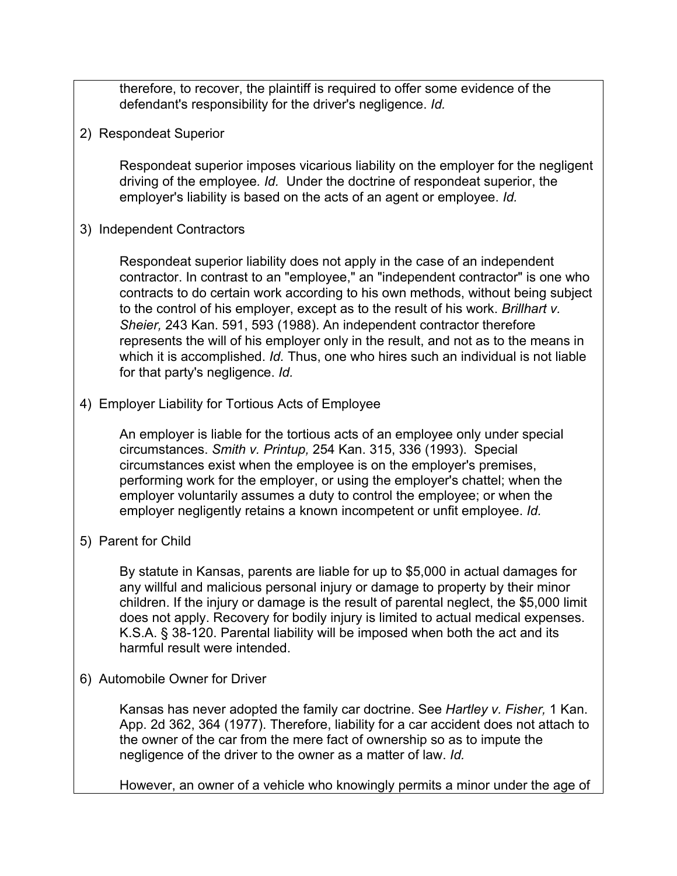therefore, to recover, the plaintiff is required to offer some evidence of the defendant's responsibility for the driver's negligence. *Id.*

2) Respondeat Superior

Respondeat superior imposes vicarious liability on the employer for the negligent driving of the employee*. Id.* Under the doctrine of respondeat superior, the employer's liability is based on the acts of an agent or employee. *Id.*

3) Independent Contractors

Respondeat superior liability does not apply in the case of an independent contractor. In contrast to an "employee," an "independent contractor" is one who contracts to do certain work according to his own methods, without being subject to the control of his employer, except as to the result of his work. *Brillhart v. Sheier,* 243 Kan. 591, 593 (1988). An independent contractor therefore represents the will of his employer only in the result, and not as to the means in which it is accomplished. *Id.* Thus, one who hires such an individual is not liable for that party's negligence. *Id.*

4) Employer Liability for Tortious Acts of Employee

An employer is liable for the tortious acts of an employee only under special circumstances. *Smith v. Printup,* 254 Kan. 315, 336 (1993). Special circumstances exist when the employee is on the employer's premises, performing work for the employer, or using the employer's chattel; when the employer voluntarily assumes a duty to control the employee; or when the employer negligently retains a known incompetent or unfit employee. *Id.* 

5) Parent for Child

By statute in Kansas, parents are liable for up to \$5,000 in actual damages for any willful and malicious personal injury or damage to property by their minor children. If the injury or damage is the result of parental neglect, the \$5,000 limit does not apply. Recovery for bodily injury is limited to actual medical expenses. K.S.A. § 38-120. Parental liability will be imposed when both the act and its harmful result were intended.

6) Automobile Owner for Driver

Kansas has never adopted the family car doctrine. See *Hartley v. Fisher,* 1 Kan. App. 2d 362, 364 (1977). Therefore, liability for a car accident does not attach to the owner of the car from the mere fact of ownership so as to impute the negligence of the driver to the owner as a matter of law. *Id.* 

However, an owner of a vehicle who knowingly permits a minor under the age of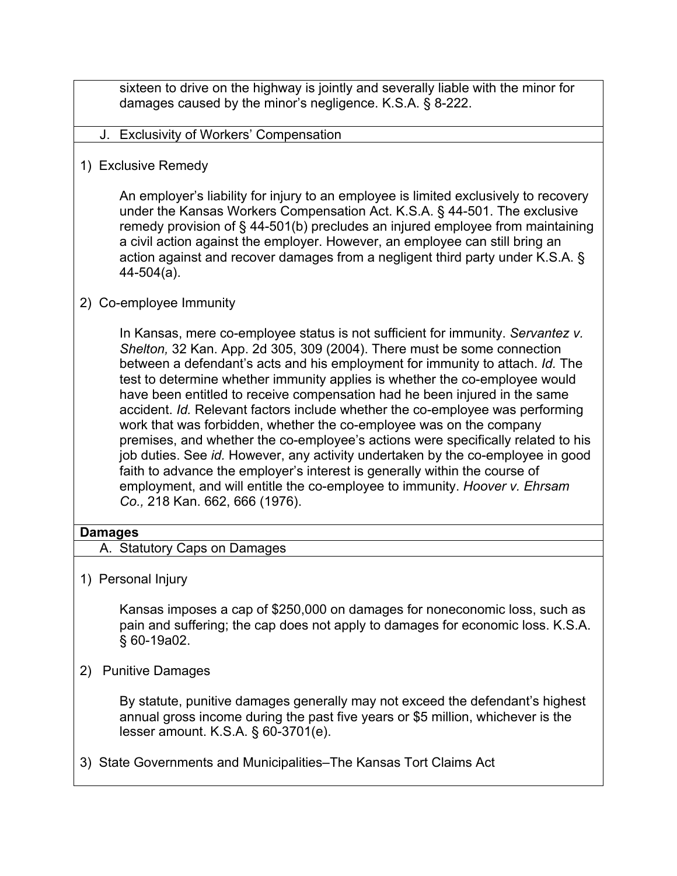sixteen to drive on the highway is jointly and severally liable with the minor for damages caused by the minor's negligence. K.S.A. § 8-222.

- J. Exclusivity of Workers' Compensation
- 1) Exclusive Remedy

An employer's liability for injury to an employee is limited exclusively to recovery under the Kansas Workers Compensation Act. K.S.A. § 44-501. The exclusive remedy provision of § 44-501(b) precludes an injured employee from maintaining a civil action against the employer. However, an employee can still bring an action against and recover damages from a negligent third party under K.S.A. § 44-504(a).

### 2) Co-employee Immunity

In Kansas, mere co-employee status is not sufficient for immunity. *Servantez v. Shelton,* 32 Kan. App. 2d 305, 309 (2004). There must be some connection between a defendant's acts and his employment for immunity to attach. *Id.* The test to determine whether immunity applies is whether the co-employee would have been entitled to receive compensation had he been injured in the same accident. *Id.* Relevant factors include whether the co-employee was performing work that was forbidden, whether the co-employee was on the company premises, and whether the co-employee's actions were specifically related to his job duties. See *id.* However, any activity undertaken by the co-employee in good faith to advance the employer's interest is generally within the course of employment, and will entitle the co-employee to immunity. *Hoover v. Ehrsam Co.,* 218 Kan. 662, 666 (1976).

#### **Damages**

- A. Statutory Caps on Damages
- 1) Personal Injury

Kansas imposes a cap of \$250,000 on damages for noneconomic loss, such as pain and suffering; the cap does not apply to damages for economic loss. K.S.A. § 60-19a02.

2) Punitive Damages

By statute, punitive damages generally may not exceed the defendant's highest annual gross income during the past five years or \$5 million, whichever is the lesser amount. K.S.A. § 60-3701(e).

3) State Governments and Municipalities–The Kansas Tort Claims Act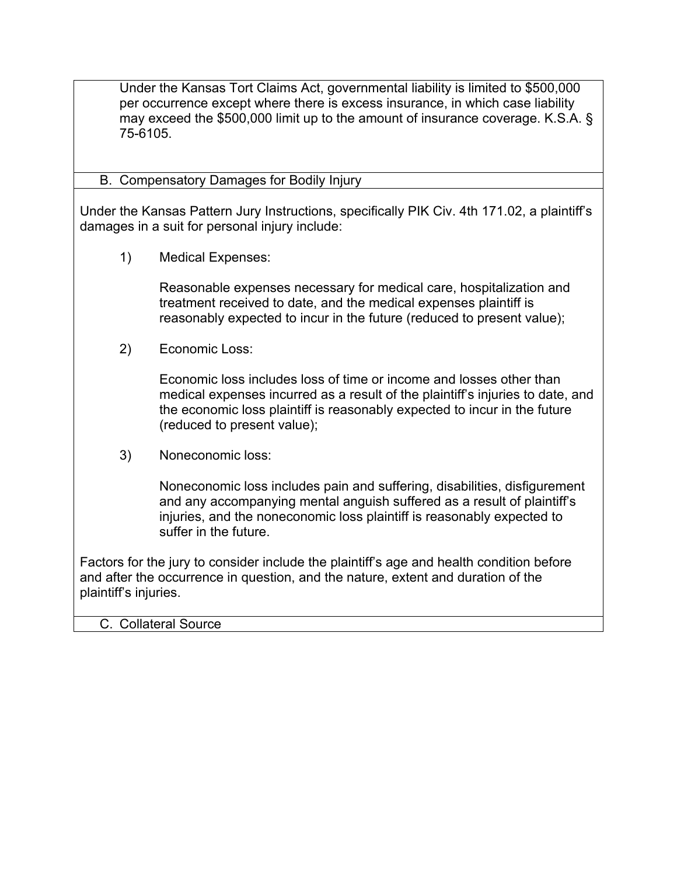Under the Kansas Tort Claims Act, governmental liability is limited to \$500,000 per occurrence except where there is excess insurance, in which case liability may exceed the \$500,000 limit up to the amount of insurance coverage. K.S.A. § 75-6105.

### B. Compensatory Damages for Bodily Injury

Under the Kansas Pattern Jury Instructions, specifically PIK Civ. 4th 171.02, a plaintiff's damages in a suit for personal injury include:

1) Medical Expenses:

Reasonable expenses necessary for medical care, hospitalization and treatment received to date, and the medical expenses plaintiff is reasonably expected to incur in the future (reduced to present value);

2) Economic Loss:

Economic loss includes loss of time or income and losses other than medical expenses incurred as a result of the plaintiff's injuries to date, and the economic loss plaintiff is reasonably expected to incur in the future (reduced to present value);

3) Noneconomic loss:

Noneconomic loss includes pain and suffering, disabilities, disfigurement and any accompanying mental anguish suffered as a result of plaintiff's injuries, and the noneconomic loss plaintiff is reasonably expected to suffer in the future.

Factors for the jury to consider include the plaintiff's age and health condition before and after the occurrence in question, and the nature, extent and duration of the plaintiff's injuries.

#### C. Collateral Source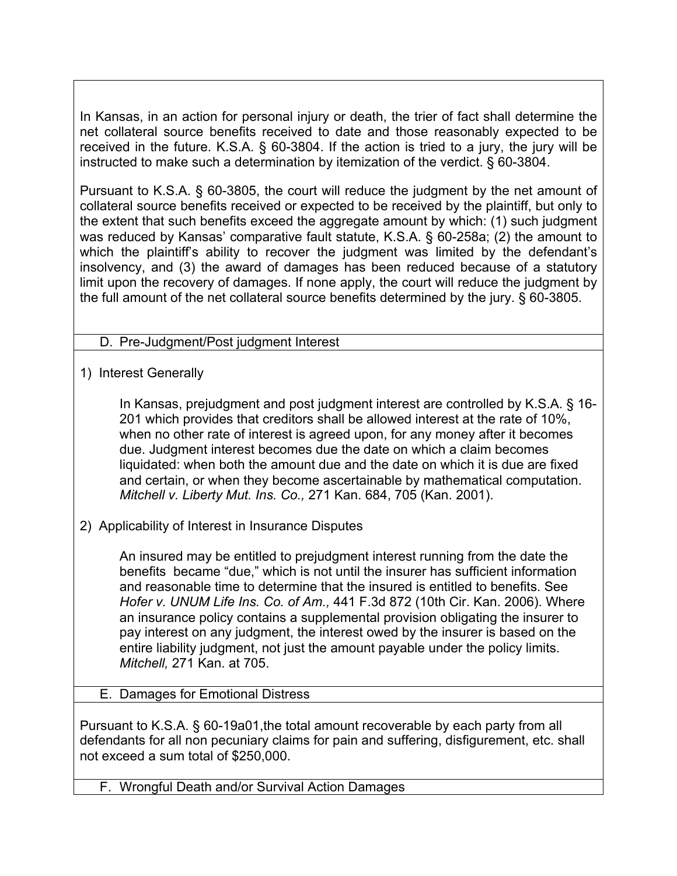In Kansas, in an action for personal injury or death, the trier of fact shall determine the net collateral source benefits received to date and those reasonably expected to be received in the future. K.S.A. § 60-3804. If the action is tried to a jury, the jury will be instructed to make such a determination by itemization of the verdict. § 60-3804.

Pursuant to K.S.A. § 60-3805, the court will reduce the judgment by the net amount of collateral source benefits received or expected to be received by the plaintiff, but only to the extent that such benefits exceed the aggregate amount by which: (1) such judgment was reduced by Kansas' comparative fault statute, K.S.A. § 60-258a; (2) the amount to which the plaintiff's ability to recover the judgment was limited by the defendant's insolvency, and (3) the award of damages has been reduced because of a statutory limit upon the recovery of damages. If none apply, the court will reduce the judgment by the full amount of the net collateral source benefits determined by the jury. § 60-3805.

# D. Pre-Judgment/Post judgment Interest

1) Interest Generally

In Kansas, prejudgment and post judgment interest are controlled by K.S.A. § 16- 201 which provides that creditors shall be allowed interest at the rate of 10%, when no other rate of interest is agreed upon, for any money after it becomes due. Judgment interest becomes due the date on which a claim becomes liquidated: when both the amount due and the date on which it is due are fixed and certain, or when they become ascertainable by mathematical computation. *Mitchell v. Liberty Mut. Ins. Co.,* 271 Kan. 684, 705 (Kan. 2001).

2) Applicability of Interest in Insurance Disputes

An insured may be entitled to prejudgment interest running from the date the benefits became "due," which is not until the insurer has sufficient information and reasonable time to determine that the insured is entitled to benefits. See *Hofer v. UNUM Life Ins. Co. of Am.,* 441 F.3d 872 (10th Cir. Kan. 2006). Where an insurance policy contains a supplemental provision obligating the insurer to pay interest on any judgment, the interest owed by the insurer is based on the entire liability judgment, not just the amount payable under the policy limits. *Mitchell,* 271 Kan. at 705.

E. Damages for Emotional Distress

Pursuant to K.S.A. § 60-19a01,the total amount recoverable by each party from all defendants for all non pecuniary claims for pain and suffering, disfigurement, etc. shall not exceed a sum total of \$250,000.

F. Wrongful Death and/or Survival Action Damages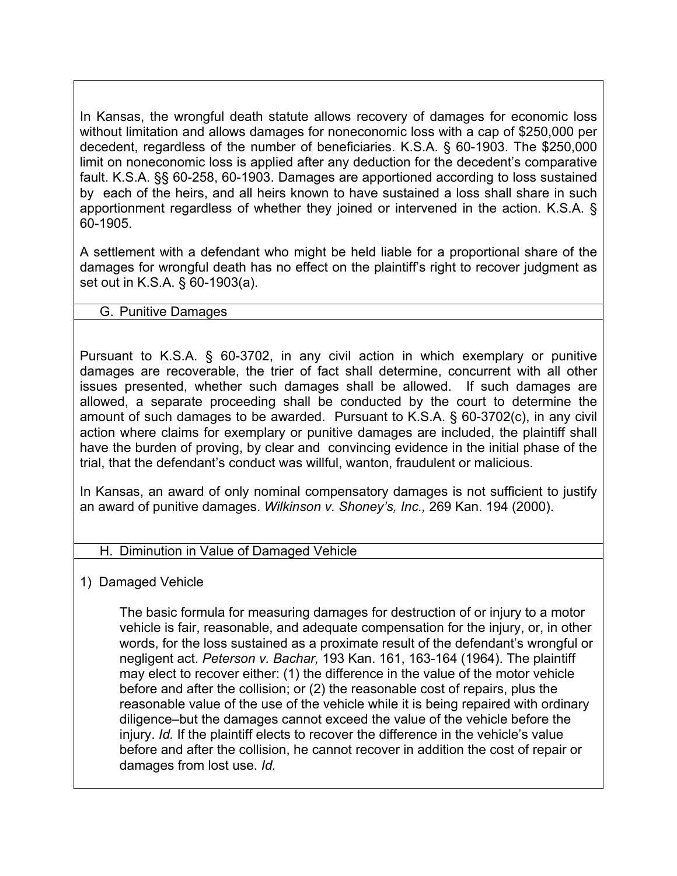In Kansas, the wrongful death statute allows recovery of damages for economic loss without limitation and allows damages for noneconomic loss with a cap of \$250,000 per decedent, regardless of the number of beneficiaries. K.S.A. § 60-1903. The \$250,000 limit on noneconomic loss is applied after any deduction for the decedent's comparative fault. K.S.A. §§ 60-258, 60-1903. Damages are apportioned according to loss sustained by each of the heirs, and all heirs known to have sustained a loss shall share in such apportionment regardless of whether they joined or intervened in the action. K.S.A. § 60-1905.

A settlement with a defendant who might be held liable for a proportional share of the damages for wrongful death has no effect on the plaintiff's right to recover judgment as set out in K.S.A. § 60-1903(a).

### G. Punitive Damages

Pursuant to K.S.A. § 60-3702, in any civil action in which exemplary or punitive damages are recoverable, the trier of fact shall determine, concurrent with all other issues presented, whether such damages shall be allowed. If such damages are allowed, a separate proceeding shall be conducted by the court to determine the amount of such damages to be awarded. Pursuant to K.S.A. § 60-3702(c), in any civil action where claims for exemplary or punitive damages are included, the plaintiff shall have the burden of proving, by clear and convincing evidence in the initial phase of the trial, that the defendant's conduct was willful, wanton, fraudulent or malicious.

In Kansas, an award of only nominal compensatory damages is not sufficient to justify an award of punitive damages. *Wilkinson v. Shoney's, Inc.,* 269 Kan. 194 (2000).

#### H. Diminution in Value of Damaged Vehicle

1) Damaged Vehicle

The basic formula for measuring damages for destruction of or injury to a motor vehicle is fair, reasonable, and adequate compensation for the injury, or, in other words, for the loss sustained as a proximate result of the defendant's wrongful or negligent act. *Peterson v. Bachar,* 193 Kan. 161, 163-164 (1964). The plaintiff may elect to recover either: (1) the difference in the value of the motor vehicle before and after the collision; or (2) the reasonable cost of repairs, plus the reasonable value of the use of the vehicle while it is being repaired with ordinary diligence–but the damages cannot exceed the value of the vehicle before the injury. *Id.* If the plaintiff elects to recover the difference in the vehicle's value before and after the collision, he cannot recover in addition the cost of repair or damages from lost use. *Id.*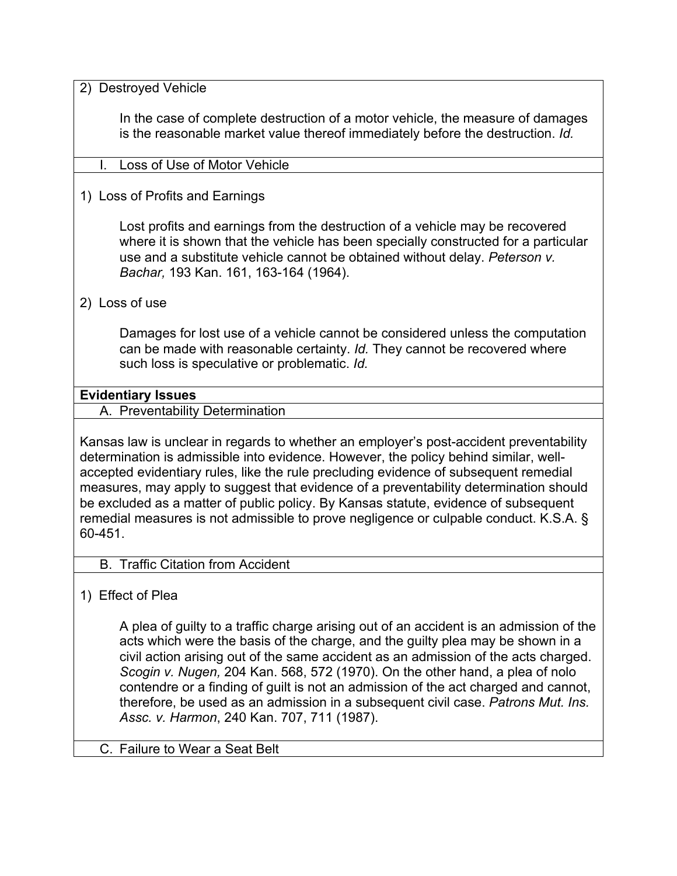2) Destroyed Vehicle

In the case of complete destruction of a motor vehicle, the measure of damages is the reasonable market value thereof immediately before the destruction. *Id.* 

- I. Loss of Use of Motor Vehicle
- 1) Loss of Profits and Earnings

Lost profits and earnings from the destruction of a vehicle may be recovered where it is shown that the vehicle has been specially constructed for a particular use and a substitute vehicle cannot be obtained without delay. *Peterson v. Bachar,* 193 Kan. 161, 163-164 (1964).

2) Loss of use

Damages for lost use of a vehicle cannot be considered unless the computation can be made with reasonable certainty. *Id.* They cannot be recovered where such loss is speculative or problematic. *Id.* 

#### **Evidentiary Issues**

A. Preventability Determination

Kansas law is unclear in regards to whether an employer's post-accident preventability determination is admissible into evidence. However, the policy behind similar, wellaccepted evidentiary rules, like the rule precluding evidence of subsequent remedial measures, may apply to suggest that evidence of a preventability determination should be excluded as a matter of public policy. By Kansas statute, evidence of subsequent remedial measures is not admissible to prove negligence or culpable conduct. K.S.A. § 60-451.

- B. Traffic Citation from Accident
- 1) Effect of Plea

A plea of guilty to a traffic charge arising out of an accident is an admission of the acts which were the basis of the charge, and the guilty plea may be shown in a civil action arising out of the same accident as an admission of the acts charged. *Scogin v. Nugen,* 204 Kan. 568, 572 (1970). On the other hand, a plea of nolo contendre or a finding of guilt is not an admission of the act charged and cannot, therefore, be used as an admission in a subsequent civil case. *Patrons Mut. Ins. Assc. v. Harmon*, 240 Kan. 707, 711 (1987).

C. Failure to Wear a Seat Belt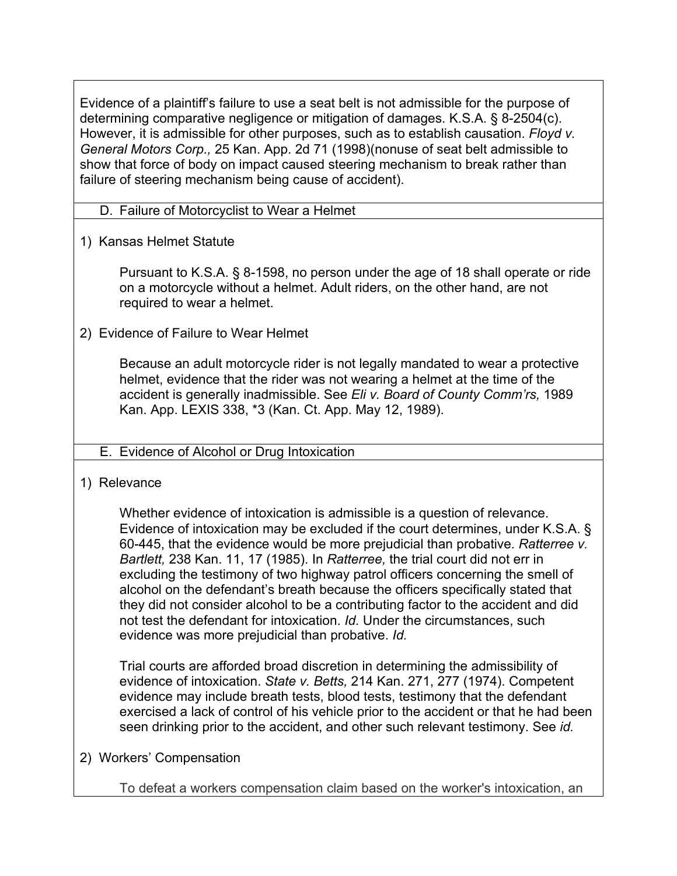Evidence of a plaintiff's failure to use a seat belt is not admissible for the purpose of determining comparative negligence or mitigation of damages. K.S.A. § 8-2504(c). However, it is admissible for other purposes, such as to establish causation. *Floyd v. General Motors Corp.,* 25 Kan. App. 2d 71 (1998)(nonuse of seat belt admissible to show that force of body on impact caused steering mechanism to break rather than failure of steering mechanism being cause of accident).

- D. Failure of Motorcyclist to Wear a Helmet
- 1) Kansas Helmet Statute

Pursuant to K.S.A. § 8-1598, no person under the age of 18 shall operate or ride on a motorcycle without a helmet. Adult riders, on the other hand, are not required to wear a helmet.

2) Evidence of Failure to Wear Helmet

Because an adult motorcycle rider is not legally mandated to wear a protective helmet, evidence that the rider was not wearing a helmet at the time of the accident is generally inadmissible. See *Eli v. Board of County Comm'rs,* 1989 Kan. App. LEXIS 338, \*3 (Kan. Ct. App. May 12, 1989).

### E. Evidence of Alcohol or Drug Intoxication

1) Relevance

Whether evidence of intoxication is admissible is a question of relevance. Evidence of intoxication may be excluded if the court determines, under K.S.A. § 60-445, that the evidence would be more prejudicial than probative. *Ratterree v. Bartlett,* 238 Kan. 11, 17 (1985). In *Ratterree,* the trial court did not err in excluding the testimony of two highway patrol officers concerning the smell of alcohol on the defendant's breath because the officers specifically stated that they did not consider alcohol to be a contributing factor to the accident and did not test the defendant for intoxication. *Id.* Under the circumstances, such evidence was more prejudicial than probative. *Id.* 

Trial courts are afforded broad discretion in determining the admissibility of evidence of intoxication. *State v. Betts,* 214 Kan. 271, 277 (1974). Competent evidence may include breath tests, blood tests, testimony that the defendant exercised a lack of control of his vehicle prior to the accident or that he had been seen drinking prior to the accident, and other such relevant testimony. See *id.* 

2) Workers' Compensation

To defeat a workers compensation claim based on the worker's intoxication, an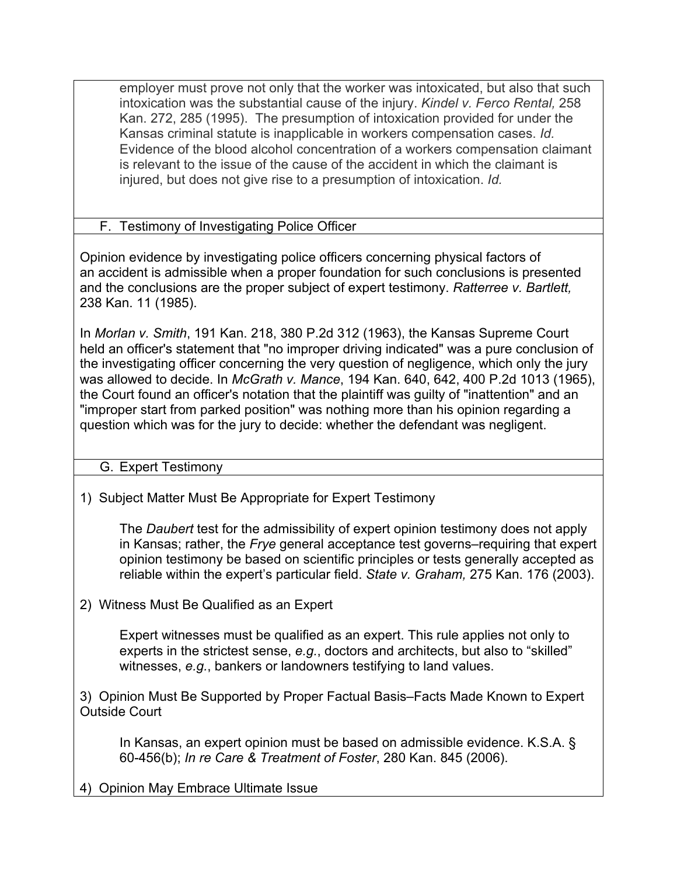employer must prove not only that the worker was intoxicated, but also that such intoxication was the substantial cause of the injury. *Kindel v. Ferco Rental,* 258 Kan. 272, 285 (1995). The presumption of intoxication provided for under the Kansas criminal statute is inapplicable in workers compensation cases. *Id.* Evidence of the blood alcohol concentration of a workers compensation claimant is relevant to the issue of the cause of the accident in which the claimant is injured, but does not give rise to a presumption of intoxication. *Id.*

F. Testimony of Investigating Police Officer

Opinion evidence by investigating police officers concerning physical factors of an accident is admissible when a proper foundation for such conclusions is presented and the conclusions are the proper subject of expert testimony. *Ratterree v. Bartlett,* 238 Kan. 11 (1985).

In *Morlan v. Smith*, 191 Kan. 218, 380 P.2d 312 (1963), the Kansas Supreme Court held an officer's statement that "no improper driving indicated" was a pure conclusion of the investigating officer concerning the very question of negligence, which only the jury was allowed to decide. In *McGrath v. Mance*, 194 Kan. 640, 642, 400 P.2d 1013 (1965), the Court found an officer's notation that the plaintiff was guilty of "inattention" and an "improper start from parked position" was nothing more than his opinion regarding a question which was for the jury to decide: whether the defendant was negligent.

G. Expert Testimony

1) Subject Matter Must Be Appropriate for Expert Testimony

The *Daubert* test for the admissibility of expert opinion testimony does not apply in Kansas; rather, the *Frye* general acceptance test governs–requiring that expert opinion testimony be based on scientific principles or tests generally accepted as reliable within the expert's particular field. *State v. Graham,* 275 Kan. 176 (2003).

2) Witness Must Be Qualified as an Expert

Expert witnesses must be qualified as an expert. This rule applies not only to experts in the strictest sense, *e.g.*, doctors and architects, but also to "skilled" witnesses, *e.g.*, bankers or landowners testifying to land values.

3) Opinion Must Be Supported by Proper Factual Basis–Facts Made Known to Expert Outside Court

In Kansas, an expert opinion must be based on admissible evidence. K.S.A. § 60-456(b); *In re Care & Treatment of Foster*, 280 Kan. 845 (2006).

4) Opinion May Embrace Ultimate Issue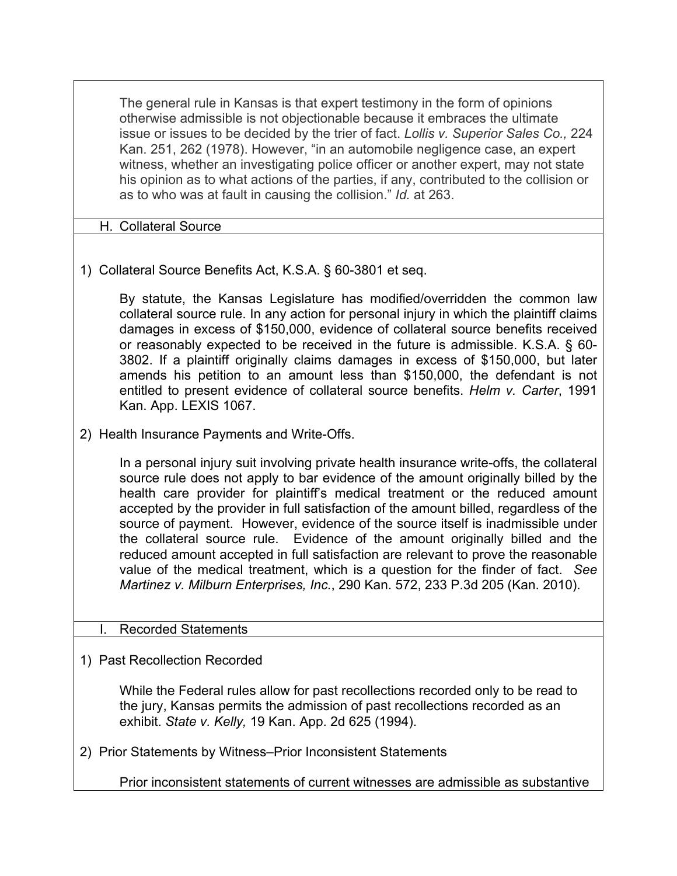The general rule in Kansas is that expert testimony in the form of opinions otherwise admissible is not objectionable because it embraces the ultimate issue or issues to be decided by the trier of fact. *Lollis v. Superior Sales Co.,* 224 Kan. 251, 262 (1978). However, "in an automobile negligence case, an expert witness, whether an investigating police officer or another expert, may not state his opinion as to what actions of the parties, if any, contributed to the collision or as to who was at fault in causing the collision." *Id.* at 263.

### H. Collateral Source

1) Collateral Source Benefits Act, K.S.A. § 60-3801 et seq.

By statute, the Kansas Legislature has modified/overridden the common law collateral source rule. In any action for personal injury in which the plaintiff claims damages in excess of \$150,000, evidence of collateral source benefits received or reasonably expected to be received in the future is admissible. K.S.A. § 60- 3802. If a plaintiff originally claims damages in excess of \$150,000, but later amends his petition to an amount less than \$150,000, the defendant is not entitled to present evidence of collateral source benefits. *Helm v. Carter*, 1991 Kan. App. LEXIS 1067.

2) Health Insurance Payments and Write-Offs.

In a personal injury suit involving private health insurance write-offs, the collateral source rule does not apply to bar evidence of the amount originally billed by the health care provider for plaintiff's medical treatment or the reduced amount accepted by the provider in full satisfaction of the amount billed, regardless of the source of payment. However, evidence of the source itself is inadmissible under the collateral source rule. Evidence of the amount originally billed and the reduced amount accepted in full satisfaction are relevant to prove the reasonable value of the medical treatment, which is a question for the finder of fact. *See Martinez v. Milburn Enterprises, Inc.*, 290 Kan. 572, 233 P.3d 205 (Kan. 2010).

#### Recorded Statements

1) Past Recollection Recorded

While the Federal rules allow for past recollections recorded only to be read to the jury, Kansas permits the admission of past recollections recorded as an exhibit. *State v. Kelly,* 19 Kan. App. 2d 625 (1994).

2) Prior Statements by Witness–Prior Inconsistent Statements

Prior inconsistent statements of current witnesses are admissible as substantive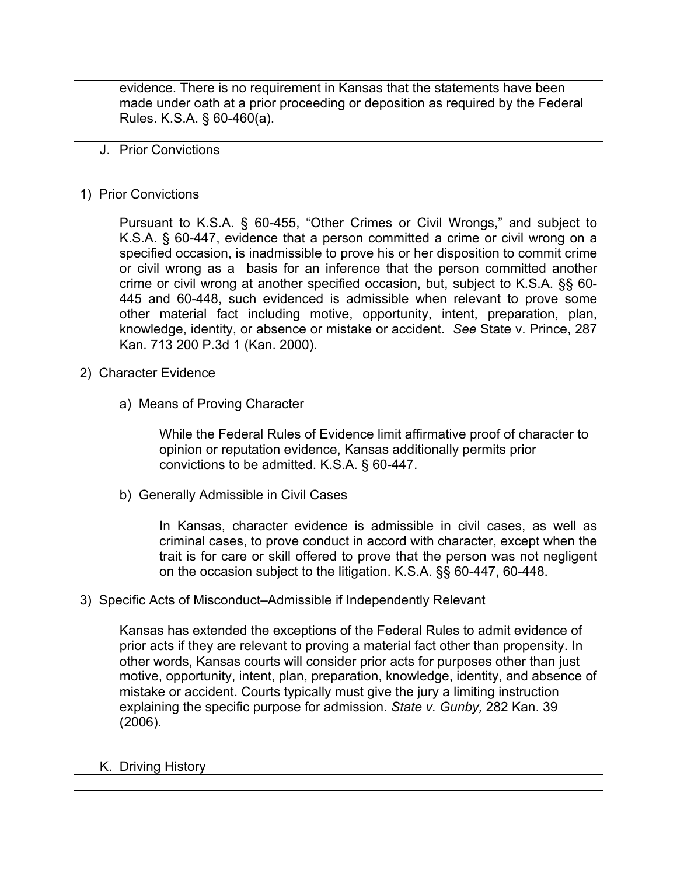evidence. There is no requirement in Kansas that the statements have been made under oath at a prior proceeding or deposition as required by the Federal Rules. K.S.A. § 60-460(a).

#### J. Prior Convictions

#### 1) Prior Convictions

Pursuant to K.S.A. § 60-455, "Other Crimes or Civil Wrongs," and subject to K.S.A. § 60-447, evidence that a person committed a crime or civil wrong on a specified occasion, is inadmissible to prove his or her disposition to commit crime or civil wrong as a basis for an inference that the person committed another crime or civil wrong at another specified occasion, but, subject to K.S.A. §§ 60- 445 and 60-448, such evidenced is admissible when relevant to prove some other material fact including motive, opportunity, intent, preparation, plan, knowledge, identity, or absence or mistake or accident. *See* State v. Prince, 287 Kan. 713 200 P.3d 1 (Kan. 2000).

#### 2) Character Evidence

a) Means of Proving Character

While the Federal Rules of Evidence limit affirmative proof of character to opinion or reputation evidence, Kansas additionally permits prior convictions to be admitted. K.S.A. § 60-447.

b) Generally Admissible in Civil Cases

In Kansas, character evidence is admissible in civil cases, as well as criminal cases, to prove conduct in accord with character, except when the trait is for care or skill offered to prove that the person was not negligent on the occasion subject to the litigation. K.S.A. §§ 60-447, 60-448.

#### 3) Specific Acts of Misconduct–Admissible if Independently Relevant

Kansas has extended the exceptions of the Federal Rules to admit evidence of prior acts if they are relevant to proving a material fact other than propensity. In other words, Kansas courts will consider prior acts for purposes other than just motive, opportunity, intent, plan, preparation, knowledge, identity, and absence of mistake or accident. Courts typically must give the jury a limiting instruction explaining the specific purpose for admission. *State v. Gunby,* 282 Kan. 39 (2006).

K. Driving History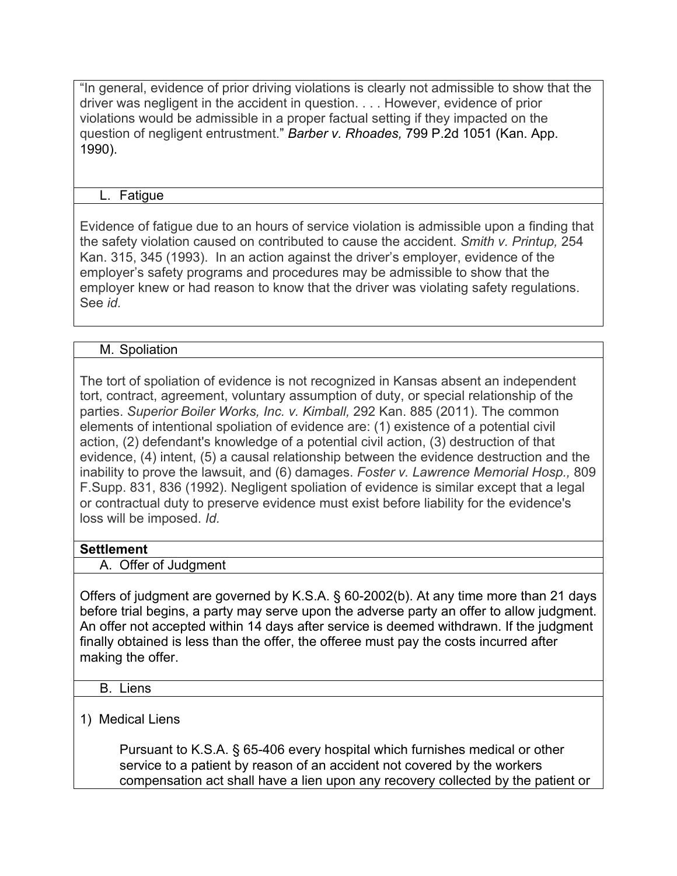"In general, evidence of prior driving violations is clearly not admissible to show that the driver was negligent in the accident in question. . . . However, evidence of prior violations would be admissible in a proper factual setting if they impacted on the question of negligent entrustment." *Barber v. Rhoades,* 799 P.2d 1051 (Kan. App. 1990).

### L. Fatigue

Evidence of fatigue due to an hours of service violation is admissible upon a finding that the safety violation caused on contributed to cause the accident. *Smith v. Printup,* 254 Kan. 315, 345 (1993). In an action against the driver's employer, evidence of the employer's safety programs and procedures may be admissible to show that the employer knew or had reason to know that the driver was violating safety regulations. See *id.* 

### M. Spoliation

The tort of spoliation of evidence is not recognized in Kansas absent an independent tort, contract, agreement, voluntary assumption of duty, or special relationship of the parties. *Superior Boiler Works, Inc. v. Kimball,* 292 Kan. 885 (2011). The common elements of intentional spoliation of evidence are: (1) existence of a potential civil action, (2) defendant's knowledge of a potential civil action, (3) destruction of that evidence, (4) intent, (5) a causal relationship between the evidence destruction and the inability to prove the lawsuit, and (6) damages. *Foster v. Lawrence Memorial Hosp.,* 809 F.Supp. 831, 836 (1992). Negligent spoliation of evidence is similar except that a legal or contractual duty to preserve evidence must exist before liability for the evidence's loss will be imposed. *Id.*

#### **Settlement**

A. Offer of Judgment

Offers of judgment are governed by K.S.A. § 60-2002(b). At any time more than 21 days before trial begins, a party may serve upon the adverse party an offer to allow judgment. An offer not accepted within 14 days after service is deemed withdrawn. If the judgment finally obtained is less than the offer, the offeree must pay the costs incurred after making the offer.

#### B. Liens

#### 1) Medical Liens

Pursuant to K.S.A. § 65-406 every hospital which furnishes medical or other service to a patient by reason of an accident not covered by the workers compensation act shall have a lien upon any recovery collected by the patient or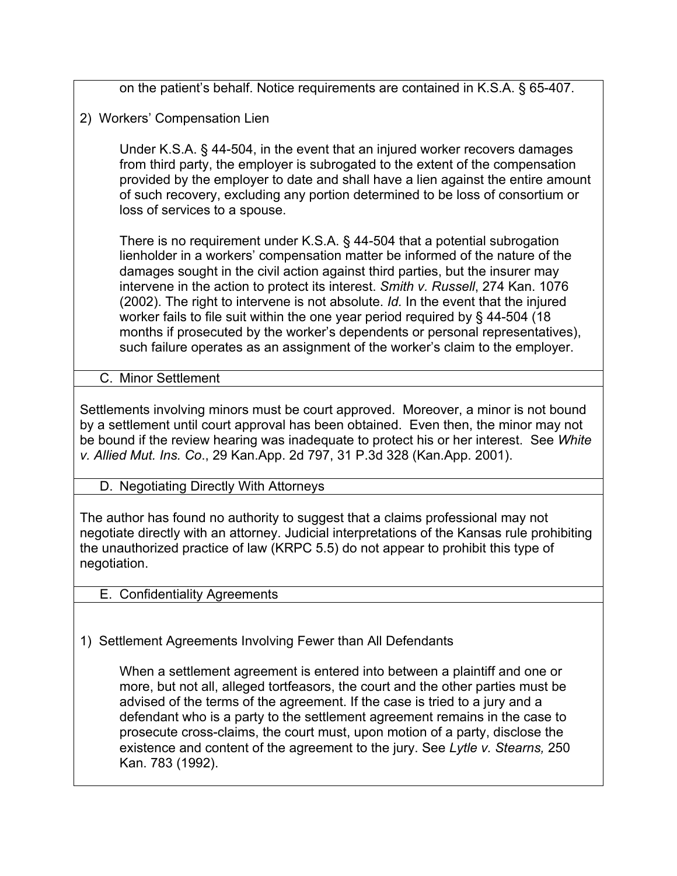on the patient's behalf. Notice requirements are contained in K.S.A. § 65-407.

2) Workers' Compensation Lien

Under K.S.A. § 44-504, in the event that an injured worker recovers damages from third party, the employer is subrogated to the extent of the compensation provided by the employer to date and shall have a lien against the entire amount of such recovery, excluding any portion determined to be loss of consortium or loss of services to a spouse.

There is no requirement under K.S.A. § 44-504 that a potential subrogation lienholder in a workers' compensation matter be informed of the nature of the damages sought in the civil action against third parties, but the insurer may intervene in the action to protect its interest. *Smith v. Russell*, 274 Kan. 1076 (2002). The right to intervene is not absolute. *Id.* In the event that the injured worker fails to file suit within the one year period required by § 44-504 (18 months if prosecuted by the worker's dependents or personal representatives), such failure operates as an assignment of the worker's claim to the employer.

C. Minor Settlement

Settlements involving minors must be court approved. Moreover, a minor is not bound by a settlement until court approval has been obtained. Even then, the minor may not be bound if the review hearing was inadequate to protect his or her interest. See *White v. Allied Mut. Ins. Co*., 29 Kan.App. 2d 797, 31 P.3d 328 (Kan.App. 2001).

### D. Negotiating Directly With Attorneys

The author has found no authority to suggest that a claims professional may not negotiate directly with an attorney. Judicial interpretations of the Kansas rule prohibiting the unauthorized practice of law (KRPC 5.5) do not appear to prohibit this type of negotiation.

#### E. Confidentiality Agreements

1) Settlement Agreements Involving Fewer than All Defendants

When a settlement agreement is entered into between a plaintiff and one or more, but not all, alleged tortfeasors, the court and the other parties must be advised of the terms of the agreement. If the case is tried to a jury and a defendant who is a party to the settlement agreement remains in the case to prosecute cross-claims, the court must, upon motion of a party, disclose the existence and content of the agreement to the jury. See *Lytle v. Stearns,* 250 Kan. 783 (1992).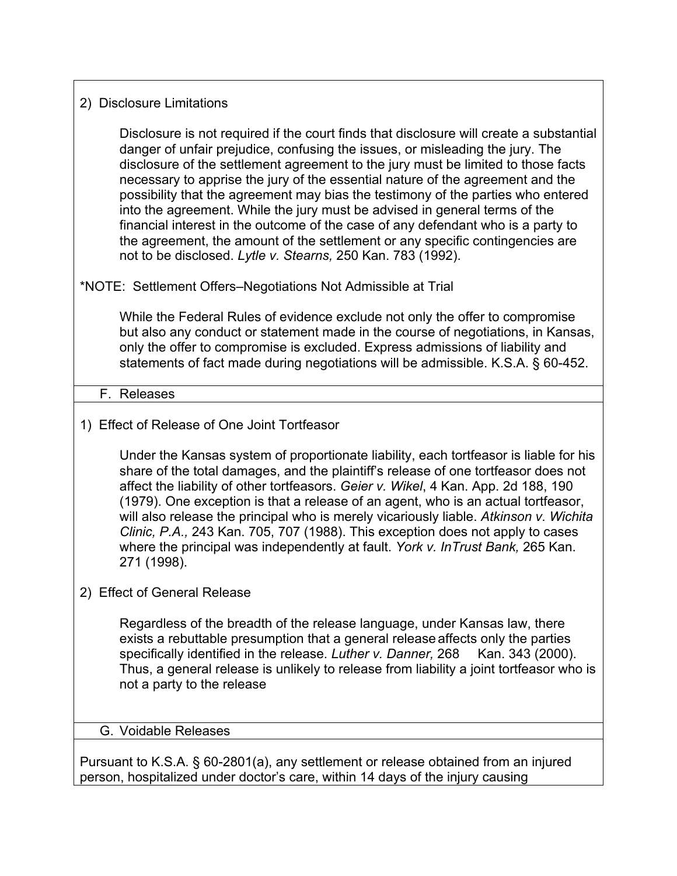### 2) Disclosure Limitations

Disclosure is not required if the court finds that disclosure will create a substantial danger of unfair prejudice, confusing the issues, or misleading the jury. The disclosure of the settlement agreement to the jury must be limited to those facts necessary to apprise the jury of the essential nature of the agreement and the possibility that the agreement may bias the testimony of the parties who entered into the agreement. While the jury must be advised in general terms of the financial interest in the outcome of the case of any defendant who is a party to the agreement, the amount of the settlement or any specific contingencies are not to be disclosed. *Lytle v. Stearns,* 250 Kan. 783 (1992).

# \*NOTE: Settlement Offers–Negotiations Not Admissible at Trial

While the Federal Rules of evidence exclude not only the offer to compromise but also any conduct or statement made in the course of negotiations, in Kansas, only the offer to compromise is excluded. Express admissions of liability and statements of fact made during negotiations will be admissible. K.S.A. § 60-452.

### F. Releases

# 1) Effect of Release of One Joint Tortfeasor

Under the Kansas system of proportionate liability, each tortfeasor is liable for his share of the total damages, and the plaintiff's release of one tortfeasor does not affect the liability of other tortfeasors. *Geier v. Wikel*, 4 Kan. App. 2d 188, 190 (1979). One exception is that a release of an agent, who is an actual tortfeasor, will also release the principal who is merely vicariously liable. *Atkinson v. Wichita Clinic, P.A.,* 243 Kan. 705, 707 (1988). This exception does not apply to cases where the principal was independently at fault. *York v. InTrust Bank,* 265 Kan. 271 (1998).

### 2) Effect of General Release

Regardless of the breadth of the release language, under Kansas law, there exists a rebuttable presumption that a general release affects only the parties specifically identified in the release. *Luther v. Danner*, 268 Kan. 343 (2000). Thus, a general release is unlikely to release from liability a joint tortfeasor who is not a party to the release

#### G. Voidable Releases

Pursuant to K.S.A. § 60-2801(a), any settlement or release obtained from an injured person, hospitalized under doctor's care, within 14 days of the injury causing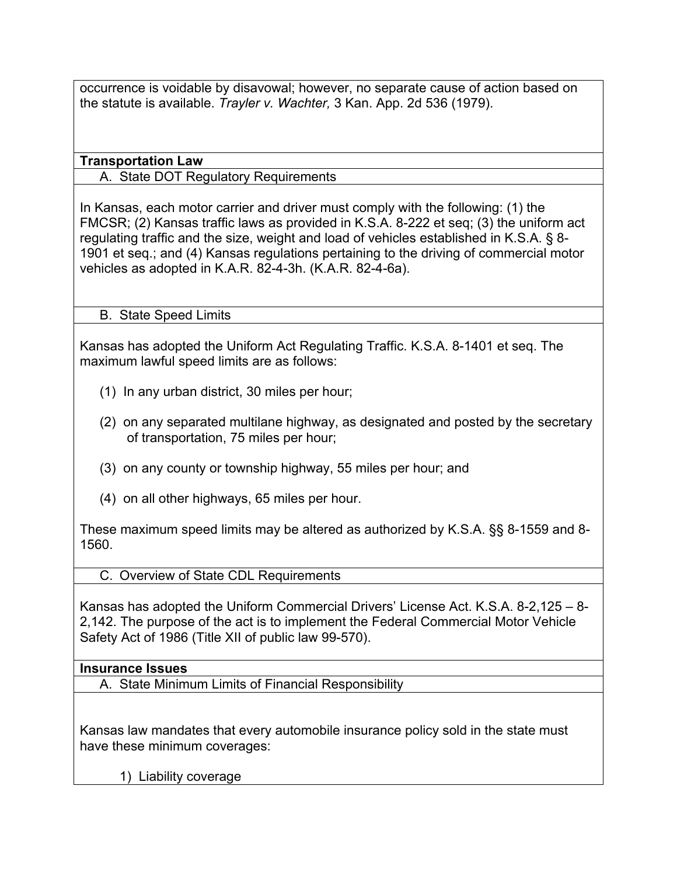occurrence is voidable by disavowal; however, no separate cause of action based on the statute is available. *Trayler v. Wachter,* 3 Kan. App. 2d 536 (1979).

**Transportation Law**

A. State DOT Regulatory Requirements

In Kansas, each motor carrier and driver must comply with the following: (1) the FMCSR; (2) Kansas traffic laws as provided in K.S.A. 8-222 et seq; (3) the uniform act regulating traffic and the size, weight and load of vehicles established in K.S.A. § 8- 1901 et seq.; and (4) Kansas regulations pertaining to the driving of commercial motor vehicles as adopted in K.A.R. 82-4-3h. (K.A.R. 82-4-6a).

B. State Speed Limits

Kansas has adopted the Uniform Act Regulating Traffic. K.S.A. 8-1401 et seq. The maximum lawful speed limits are as follows:

- (1) In any urban district, 30 miles per hour;
- (2) on any separated multilane highway, as designated and posted by the secretary of transportation, 75 miles per hour;
- (3) on any county or township highway, 55 miles per hour; and
- (4) on all other highways, 65 miles per hour.

These maximum speed limits may be altered as authorized by K.S.A. §§ 8-1559 and 8- 1560.

C. Overview of State CDL Requirements

Kansas has adopted the Uniform Commercial Drivers' License Act. K.S.A. 8-2,125 – 8- 2,142. The purpose of the act is to implement the Federal Commercial Motor Vehicle Safety Act of 1986 (Title XII of public law 99-570).

### **Insurance Issues**

A. State Minimum Limits of Financial Responsibility

Kansas law mandates that every automobile insurance policy sold in the state must have these minimum coverages:

1) Liability coverage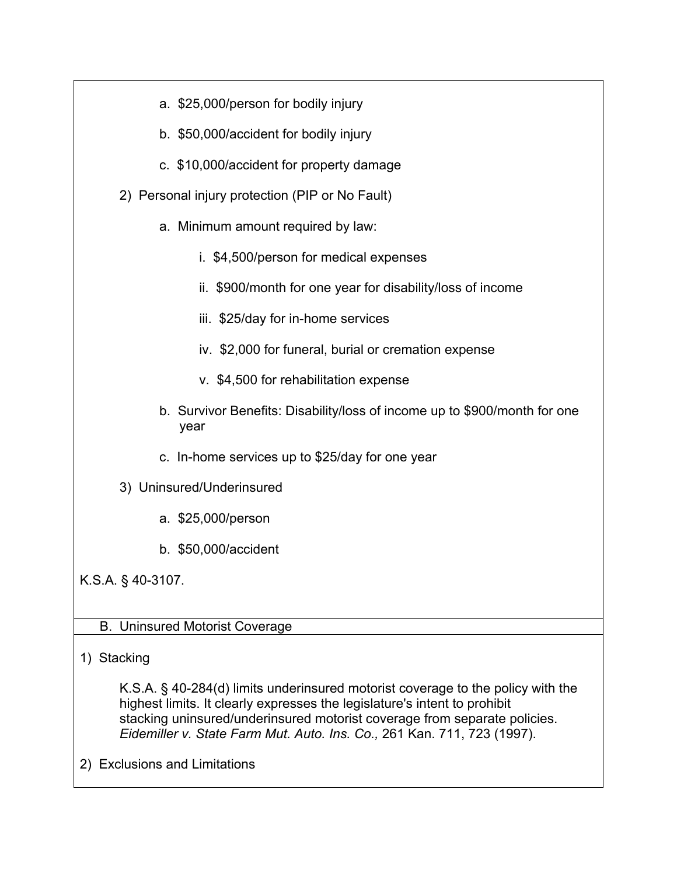| a. \$25,000/person for bodily injury                                              |  |  |
|-----------------------------------------------------------------------------------|--|--|
| b. \$50,000/accident for bodily injury                                            |  |  |
| c. \$10,000/accident for property damage                                          |  |  |
| 2) Personal injury protection (PIP or No Fault)                                   |  |  |
| a. Minimum amount required by law:                                                |  |  |
| i. \$4,500/person for medical expenses                                            |  |  |
| ii. \$900/month for one year for disability/loss of income                        |  |  |
| iii. \$25/day for in-home services                                                |  |  |
| iv. \$2,000 for funeral, burial or cremation expense                              |  |  |
| v. \$4,500 for rehabilitation expense                                             |  |  |
| b. Survivor Benefits: Disability/loss of income up to \$900/month for one<br>year |  |  |
| c. In-home services up to \$25/day for one year                                   |  |  |
| 3) Uninsured/Underinsured                                                         |  |  |
| a. \$25,000/person                                                                |  |  |
| b. \$50,000/accident                                                              |  |  |
| K.S.A. § 40-3107.                                                                 |  |  |
|                                                                                   |  |  |
| <b>B. Uninsured Motorist Coverage</b>                                             |  |  |

# 1) Stacking

K.S.A. § 40-284(d) limits underinsured motorist coverage to the policy with the highest limits. It clearly expresses the legislature's intent to prohibit stacking uninsured/underinsured motorist coverage from separate policies. *Eidemiller v. State Farm Mut. Auto. Ins. Co.,* 261 Kan. 711, 723 (1997).

2) Exclusions and Limitations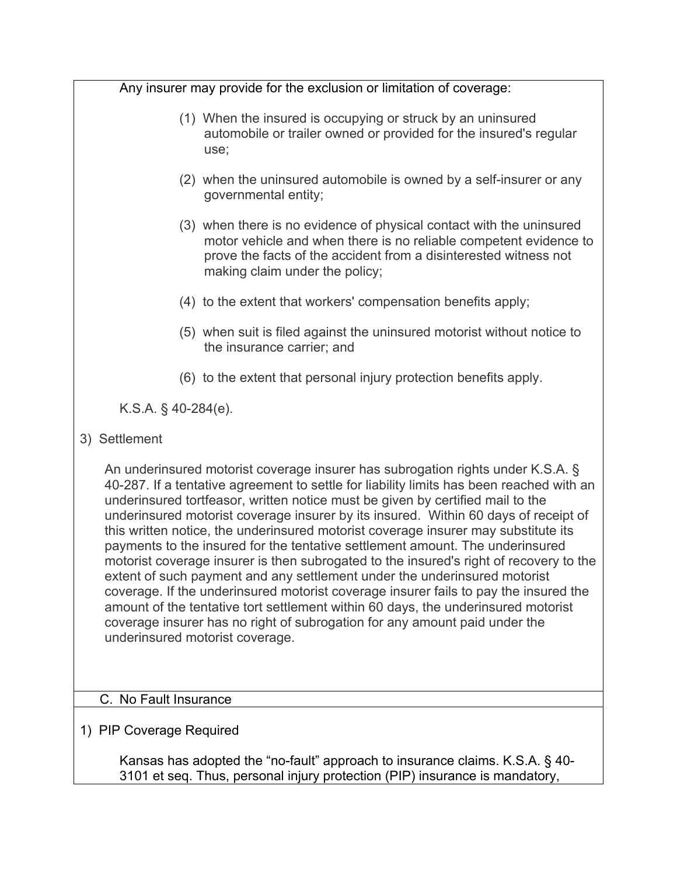| Any insurer may provide for the exclusion or limitation of coverage:                                                                                                                                                                                                                                                                                                                                                                                                                                                                                                                                                                                                                                                                                                                                                                                                                                                                                                                             |  |
|--------------------------------------------------------------------------------------------------------------------------------------------------------------------------------------------------------------------------------------------------------------------------------------------------------------------------------------------------------------------------------------------------------------------------------------------------------------------------------------------------------------------------------------------------------------------------------------------------------------------------------------------------------------------------------------------------------------------------------------------------------------------------------------------------------------------------------------------------------------------------------------------------------------------------------------------------------------------------------------------------|--|
| (1) When the insured is occupying or struck by an uninsured<br>automobile or trailer owned or provided for the insured's regular<br>use;                                                                                                                                                                                                                                                                                                                                                                                                                                                                                                                                                                                                                                                                                                                                                                                                                                                         |  |
| (2) when the uninsured automobile is owned by a self-insurer or any<br>governmental entity;                                                                                                                                                                                                                                                                                                                                                                                                                                                                                                                                                                                                                                                                                                                                                                                                                                                                                                      |  |
| (3) when there is no evidence of physical contact with the uninsured<br>motor vehicle and when there is no reliable competent evidence to<br>prove the facts of the accident from a disinterested witness not<br>making claim under the policy;                                                                                                                                                                                                                                                                                                                                                                                                                                                                                                                                                                                                                                                                                                                                                  |  |
| (4) to the extent that workers' compensation benefits apply;                                                                                                                                                                                                                                                                                                                                                                                                                                                                                                                                                                                                                                                                                                                                                                                                                                                                                                                                     |  |
| (5) when suit is filed against the uninsured motorist without notice to<br>the insurance carrier; and                                                                                                                                                                                                                                                                                                                                                                                                                                                                                                                                                                                                                                                                                                                                                                                                                                                                                            |  |
| (6) to the extent that personal injury protection benefits apply.                                                                                                                                                                                                                                                                                                                                                                                                                                                                                                                                                                                                                                                                                                                                                                                                                                                                                                                                |  |
| K.S.A. $\S$ 40-284(e).                                                                                                                                                                                                                                                                                                                                                                                                                                                                                                                                                                                                                                                                                                                                                                                                                                                                                                                                                                           |  |
| 3) Settlement                                                                                                                                                                                                                                                                                                                                                                                                                                                                                                                                                                                                                                                                                                                                                                                                                                                                                                                                                                                    |  |
| An underinsured motorist coverage insurer has subrogation rights under K.S.A. §<br>40-287. If a tentative agreement to settle for liability limits has been reached with an<br>underinsured tortfeasor, written notice must be given by certified mail to the<br>underinsured motorist coverage insurer by its insured. Within 60 days of receipt of<br>this written notice, the underinsured motorist coverage insurer may substitute its<br>payments to the insured for the tentative settlement amount. The underinsured<br>motorist coverage insurer is then subrogated to the insured's right of recovery to the<br>extent of such payment and any settlement under the underinsured motorist<br>coverage. If the underinsured motorist coverage insurer fails to pay the insured the<br>amount of the tentative tort settlement within 60 days, the underinsured motorist<br>coverage insurer has no right of subrogation for any amount paid under the<br>underinsured motorist coverage. |  |
| C. No Fault Insurance                                                                                                                                                                                                                                                                                                                                                                                                                                                                                                                                                                                                                                                                                                                                                                                                                                                                                                                                                                            |  |
|                                                                                                                                                                                                                                                                                                                                                                                                                                                                                                                                                                                                                                                                                                                                                                                                                                                                                                                                                                                                  |  |

1) PIP Coverage Required

Kansas has adopted the "no-fault" approach to insurance claims. K.S.A. § 40- 3101 et seq. Thus, personal injury protection (PIP) insurance is mandatory,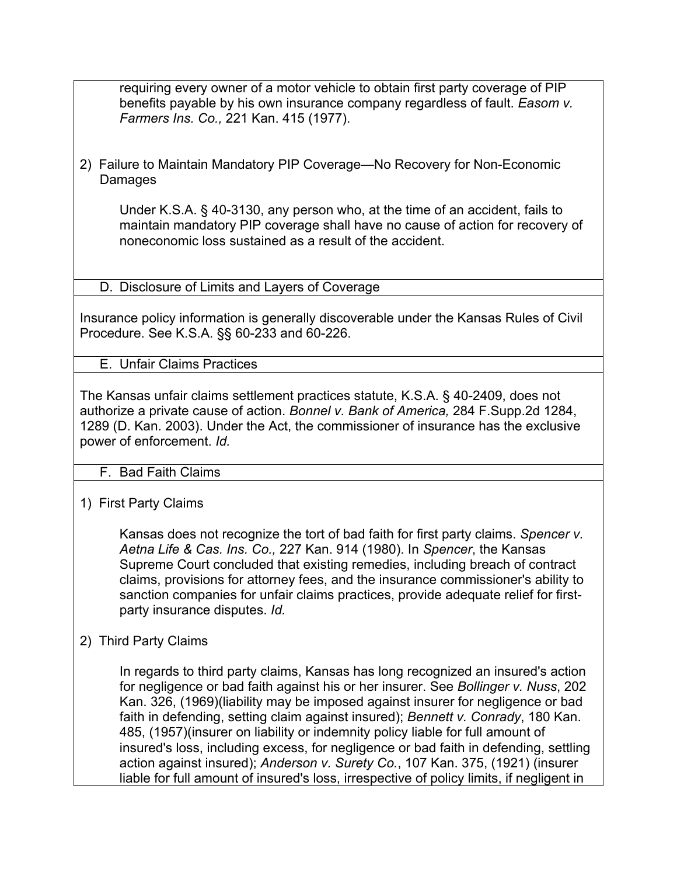requiring every owner of a motor vehicle to obtain first party coverage of PIP benefits payable by his own insurance company regardless of fault. *Easom v. Farmers Ins. Co.,* 221 Kan. 415 (1977).

2) Failure to Maintain Mandatory PIP Coverage—No Recovery for Non-Economic Damages

Under K.S.A. § 40-3130, any person who, at the time of an accident, fails to maintain mandatory PIP coverage shall have no cause of action for recovery of noneconomic loss sustained as a result of the accident.

D. Disclosure of Limits and Layers of Coverage

Insurance policy information is generally discoverable under the Kansas Rules of Civil Procedure. See K.S.A. §§ 60-233 and 60-226.

E. Unfair Claims Practices

The Kansas unfair claims settlement practices statute, K.S.A. § 40-2409, does not authorize a private cause of action. *Bonnel v. Bank of America,* 284 F.Supp.2d 1284, 1289 (D. Kan. 2003). Under the Act, the commissioner of insurance has the exclusive power of enforcement. *Id.* 

### F. Bad Faith Claims

1) First Party Claims

Kansas does not recognize the tort of bad faith for first party claims. *Spencer v. Aetna Life & Cas. Ins. Co.,* 227 Kan. 914 (1980). In *Spencer*, the Kansas Supreme Court concluded that existing remedies, including breach of contract claims, provisions for attorney fees, and the insurance commissioner's ability to sanction companies for unfair claims practices, provide adequate relief for firstparty insurance disputes. *Id.*

### 2) Third Party Claims

In regards to third party claims, Kansas has long recognized an insured's action for negligence or bad faith against his or her insurer. See *Bollinger v. Nuss*, 202 Kan. 326, (1969)(liability may be imposed against insurer for negligence or bad faith in defending, setting claim against insured); *Bennett v. Conrady*, 180 Kan. 485, (1957)(insurer on liability or indemnity policy liable for full amount of insured's loss, including excess, for negligence or bad faith in defending, settling action against insured); *Anderson v. Surety Co.*, 107 Kan. 375, (1921) (insurer liable for full amount of insured's loss, irrespective of policy limits, if negligent in